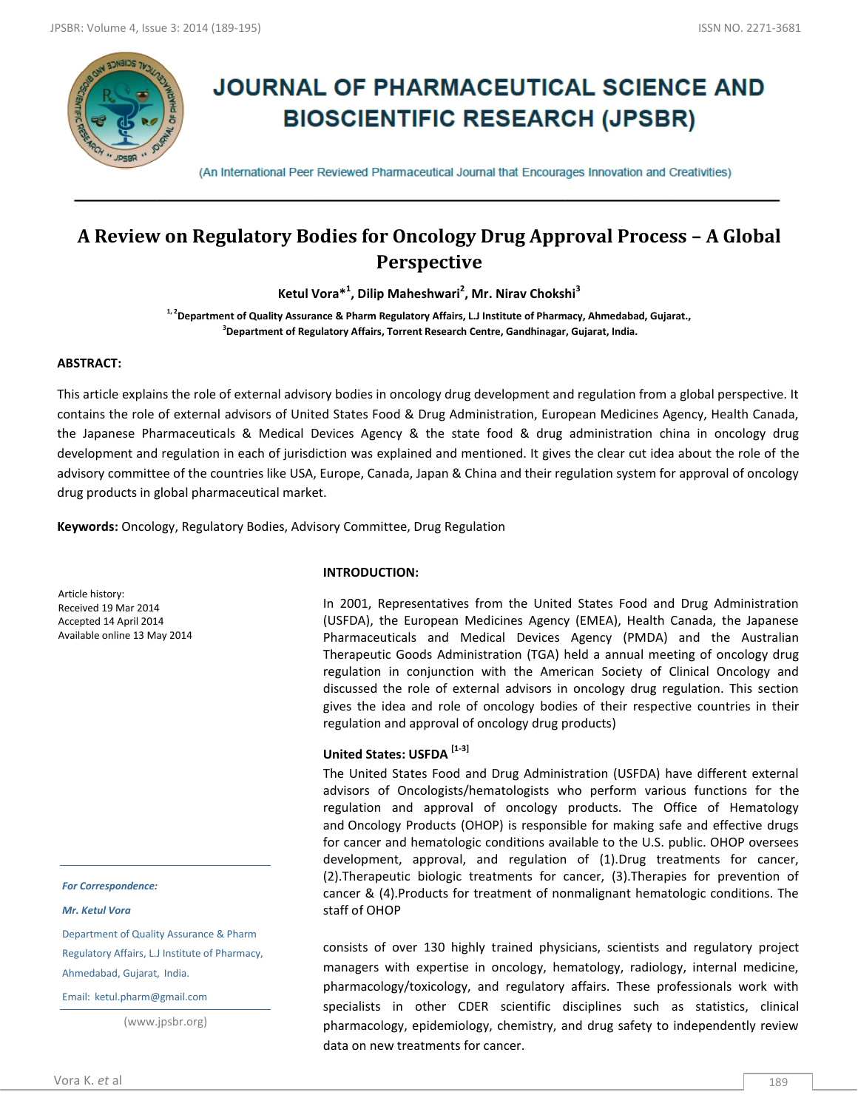

# **JOURNAL OF PHARMACEUTICAL SCIENCE AND BIOSCIENTIFIC RESEARCH (JPSBR)**

(An International Peer Reviewed Pharmaceutical Journal that Encourages Innovation and Creativities)

# **A Review on Regulatory Bodies for Oncology Drug Approval Process – A Global Perspective**

**Ketul Vora\*<sup>1</sup> , Dilip Maheshwari<sup>2</sup> , Mr. Nirav Chokshi<sup>3</sup>**

**1, 2Department of Quality Assurance & Pharm Regulatory Affairs, L.J Institute of Pharmacy, Ahmedabad, Gujarat., 3 Department of Regulatory Affairs, Torrent Research Centre, Gandhinagar, Gujarat, India.**

## **ABSTRACT:**

This article explains the role of external advisory bodies in oncology drug development and regulation from a global perspective. It contains the role of external advisors of United States Food & Drug Administration, European Medicines Agency, Health Canada, the Japanese Pharmaceuticals & Medical Devices Agency & the state food & drug administration china in oncology drug development and regulation in each of jurisdiction was explained and mentioned. It gives the clear cut idea about the role of the advisory committee of the countries like USA, Europe, Canada, Japan & China and their regulation system for approval of oncology drug products in global pharmaceutical market.

**Keywords:** Oncology, Regulatory Bodies, Advisory Committee, Drug Regulation

Article history: Received 19 Mar 2014 Accepted 14 April 2014 Available online 13 May 2014

*For Correspondence:*

*Mr. Ketul Vora*

Department of Quality Assurance & Pharm Regulatory Affairs, L.J Institute of Pharmacy, Ahmedabad, Gujarat, India.

Email: ketul.pharm@gmail.com

(www.jpsbr.org)

#### **INTRODUCTION:**

In 2001, Representatives from the United States Food and Drug Administration (USFDA), the European Medicines Agency (EMEA), Health Canada, the Japanese Pharmaceuticals and Medical Devices Agency (PMDA) and the Australian Therapeutic Goods Administration (TGA) held a annual meeting of oncology drug regulation in conjunction with the American Society of Clinical Oncology and discussed the role of external advisors in oncology drug regulation. This section gives the idea and role of oncology bodies of their respective countries in their regulation and approval of oncology drug products)

## **United States: USFDA [1-3]**

The United States Food and Drug Administration (USFDA) have different external advisors of Oncologists/hematologists who perform various functions for the regulation and approval of oncology products. The Office of Hematology and Oncology Products (OHOP) is responsible for making safe and effective drugs for cancer and hematologic conditions available to the U.S. public. OHOP oversees development, approval, and regulation of (1).Drug treatments for cancer, (2).Therapeutic biologic treatments for cancer, (3).Therapies for prevention of cancer & (4).Products for treatment of nonmalignant hematologic conditions. The staff of OHOP

consists of over 130 highly trained physicians, scientists and regulatory project managers with expertise in oncology, hematology, radiology, internal medicine, pharmacology/toxicology, and regulatory affairs. These professionals work with specialists in other CDER scientific disciplines such as statistics, clinical pharmacology, epidemiology, chemistry, and drug safety to independently review data on new treatments for cancer.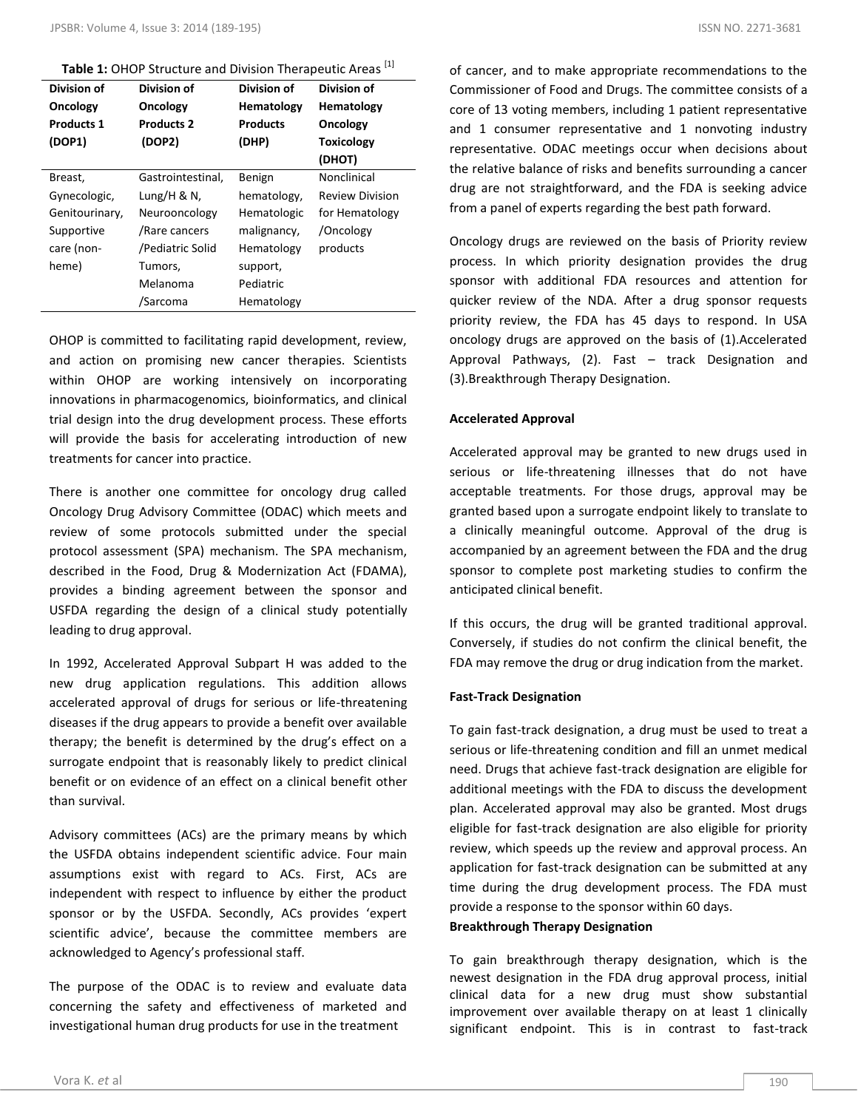**Table 1:** OHOP Structure and Division Therapeutic Areas <sup>[1]</sup>

| Division of<br>Oncology | Division of<br>Oncology | Division of<br>Hematology | Division of<br>Hematology |
|-------------------------|-------------------------|---------------------------|---------------------------|
| <b>Products 1</b>       | <b>Products 2</b>       | <b>Products</b>           | Oncology                  |
| (DOP1)                  | (DOP2)                  | (DHP)                     | <b>Toxicology</b>         |
|                         |                         |                           | (DHOT)                    |
| Breast,                 | Gastrointestinal,       | Benign                    | Nonclinical               |
| Gynecologic,            | Lung/H & N,             | hematology,               | <b>Review Division</b>    |
| Genitourinary,          | Neurooncology           | Hematologic               | for Hematology            |
| Supportive              | /Rare cancers           | malignancy,               | /Oncology                 |
| care (non-              | /Pediatric Solid        | Hematology                | products                  |
| heme)                   | Tumors,                 | support,                  |                           |
|                         | Melanoma                | Pediatric                 |                           |
|                         | /Sarcoma                | Hematology                |                           |

OHOP is committed to facilitating rapid development, review, and action on promising new cancer therapies. Scientists within OHOP are working intensively on incorporating innovations in pharmacogenomics, bioinformatics, and clinical trial design into the drug development process. These efforts will provide the basis for accelerating introduction of new treatments for cancer into practice.

There is another one committee for oncology drug called Oncology Drug Advisory Committee (ODAC) which meets and review of some protocols submitted under the special protocol assessment (SPA) mechanism. The SPA mechanism, described in the Food, Drug & Modernization Act (FDAMA), provides a binding agreement between the sponsor and USFDA regarding the design of a clinical study potentially leading to drug approval.

In 1992, Accelerated Approval Subpart H was added to the new drug application regulations. This addition allows accelerated approval of drugs for serious or life-threatening diseases if the drug appears to provide a benefit over available therapy; the benefit is determined by the drug's effect on a surrogate endpoint that is reasonably likely to predict clinical benefit or on evidence of an effect on a clinical benefit other than survival.

Advisory committees (ACs) are the primary means by which the USFDA obtains independent scientific advice. Four main assumptions exist with regard to ACs. First, ACs are independent with respect to influence by either the product sponsor or by the USFDA. Secondly, ACs provides 'expert scientific advice', because the committee members are acknowledged to Agency's professional staff.

The purpose of the ODAC is to review and evaluate data concerning the safety and effectiveness of marketed and investigational human drug products for use in the treatment

of cancer, and to make appropriate recommendations to the Commissioner of Food and Drugs. The committee consists of a core of 13 voting members, including 1 patient representative and 1 consumer representative and 1 nonvoting industry representative. ODAC meetings occur when decisions about the relative balance of risks and benefits surrounding a cancer drug are not straightforward, and the FDA is seeking advice from a panel of experts regarding the best path forward.

Oncology drugs are reviewed on the basis of Priority review process. In which priority designation provides the drug sponsor with additional FDA resources and attention for quicker review of the NDA. After a drug sponsor requests priority review, the FDA has 45 days to respond. In USA oncology drugs are approved on the basis of (1).Accelerated Approval Pathways, (2). Fast – track Designation and (3).Breakthrough Therapy Designation.

## **Accelerated Approval**

Accelerated approval may be granted to new drugs used in serious or life-threatening illnesses that do not have acceptable treatments. For those drugs, approval may be granted based upon a surrogate endpoint likely to translate to a clinically meaningful outcome. Approval of the drug is accompanied by an agreement between the FDA and the drug sponsor to complete post marketing studies to confirm the anticipated clinical benefit.

If this occurs, the drug will be granted traditional approval. Conversely, if studies do not confirm the clinical benefit, the FDA may remove the drug or drug indication from the market.

## **Fast-Track Designation**

To gain fast-track designation, a drug must be used to treat a serious or life-threatening condition and fill an unmet medical need. Drugs that achieve fast-track designation are eligible for additional meetings with the FDA to discuss the development plan. Accelerated approval may also be granted. Most drugs eligible for fast-track designation are also eligible for priority review, which speeds up the review and approval process. An application for fast-track designation can be submitted at any time during the drug development process. The FDA must provide a response to the sponsor within 60 days.

## **Breakthrough Therapy Designation**

To gain breakthrough therapy designation, which is the newest designation in the FDA drug approval process, initial clinical data for a new drug must show substantial improvement over available therapy on at least 1 clinically significant endpoint. This is in contrast to fast-track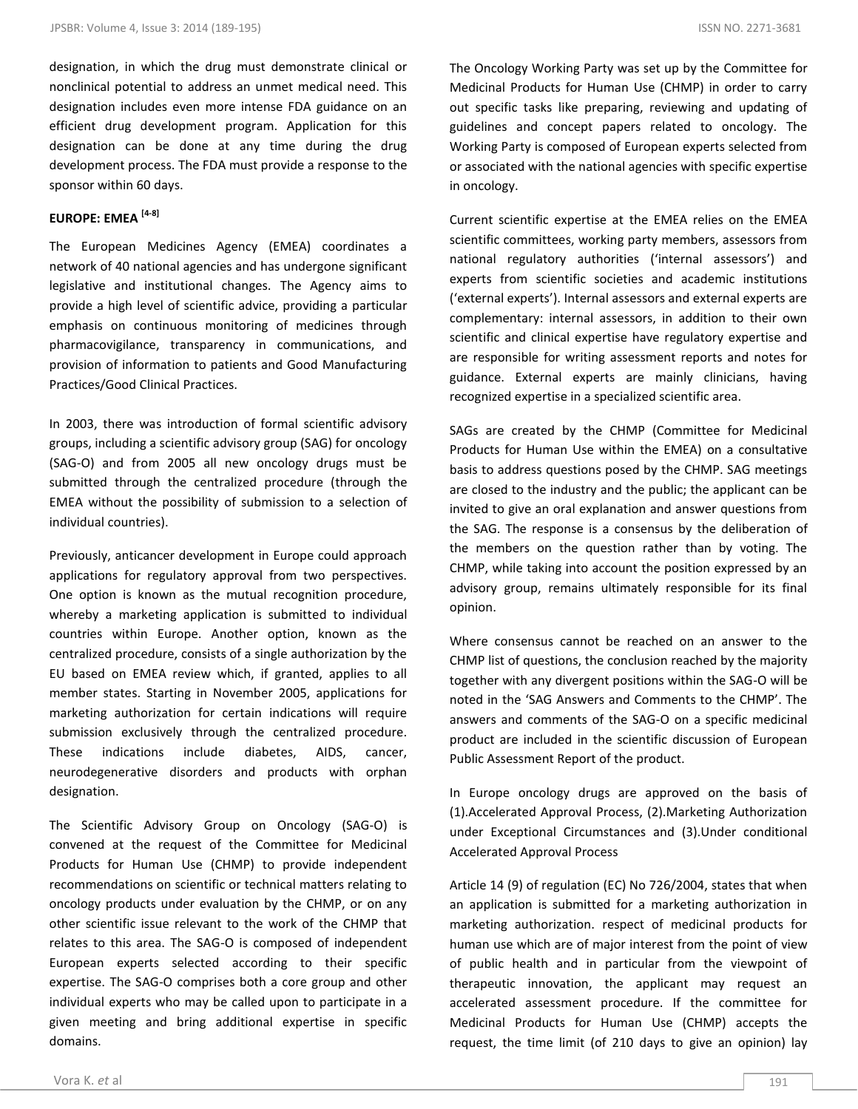designation, in which the drug must demonstrate clinical or nonclinical potential to address an unmet medical need. This designation includes even more intense FDA guidance on an efficient drug development program. Application for this designation can be done at any time during the drug development process. The FDA must provide a response to the sponsor within 60 days.

## **EUROPE: EMEA [4-8]**

The European Medicines Agency (EMEA) coordinates a network of 40 national agencies and has undergone significant legislative and institutional changes. The Agency aims to provide a high level of scientific advice, providing a particular emphasis on continuous monitoring of medicines through pharmacovigilance, transparency in communications, and provision of information to patients and Good Manufacturing Practices/Good Clinical Practices.

In 2003, there was introduction of formal scientific advisory groups, including a scientific advisory group (SAG) for oncology (SAG-O) and from 2005 all new oncology drugs must be submitted through the centralized procedure (through the EMEA without the possibility of submission to a selection of individual countries).

Previously, anticancer development in Europe could approach applications for regulatory approval from two perspectives. One option is known as the mutual recognition procedure, whereby a marketing application is submitted to individual countries within Europe. Another option, known as the centralized procedure, consists of a single authorization by the EU based on EMEA review which, if granted, applies to all member states. Starting in November 2005, applications for marketing authorization for certain indications will require submission exclusively through the centralized procedure. These indications include diabetes, AIDS, cancer, neurodegenerative disorders and products with orphan designation.

The Scientific Advisory Group on Oncology (SAG-O) is convened at the request of the Committee for Medicinal Products for Human Use (CHMP) to provide independent recommendations on scientific or technical matters relating to oncology products under evaluation by the CHMP, or on any other scientific issue relevant to the work of the CHMP that relates to this area. The SAG-O is composed of independent European experts selected according to their specific expertise. The SAG-O comprises both a core group and other individual experts who may be called upon to participate in a given meeting and bring additional expertise in specific domains.

The Oncology Working Party was set up by the Committee for Medicinal Products for Human Use (CHMP) in order to carry out specific tasks like preparing, reviewing and updating of guidelines and concept papers related to oncology. The Working Party is composed of European experts selected from or associated with the national agencies with specific expertise in oncology.

Current scientific expertise at the EMEA relies on the EMEA scientific committees, working party members, assessors from national regulatory authorities ('internal assessors') and experts from scientific societies and academic institutions ('external experts'). Internal assessors and external experts are complementary: internal assessors, in addition to their own scientific and clinical expertise have regulatory expertise and are responsible for writing assessment reports and notes for guidance. External experts are mainly clinicians, having recognized expertise in a specialized scientific area.

SAGs are created by the CHMP (Committee for Medicinal Products for Human Use within the EMEA) on a consultative basis to address questions posed by the CHMP. SAG meetings are closed to the industry and the public; the applicant can be invited to give an oral explanation and answer questions from the SAG. The response is a consensus by the deliberation of the members on the question rather than by voting. The CHMP, while taking into account the position expressed by an advisory group, remains ultimately responsible for its final opinion.

Where consensus cannot be reached on an answer to the CHMP list of questions, the conclusion reached by the majority together with any divergent positions within the SAG-O will be noted in the 'SAG Answers and Comments to the CHMP'. The answers and comments of the SAG-O on a specific medicinal product are included in the scientific discussion of European Public Assessment Report of the product.

In Europe oncology drugs are approved on the basis of (1).Accelerated Approval Process, (2).Marketing Authorization under Exceptional Circumstances and (3).Under conditional Accelerated Approval Process

Article 14 (9) of regulation (EC) No 726/2004, states that when an application is submitted for a marketing authorization in marketing authorization. respect of medicinal products for human use which are of major interest from the point of view of public health and in particular from the viewpoint of therapeutic innovation, the applicant may request an accelerated assessment procedure. If the committee for Medicinal Products for Human Use (CHMP) accepts the request, the time limit (of 210 days to give an opinion) lay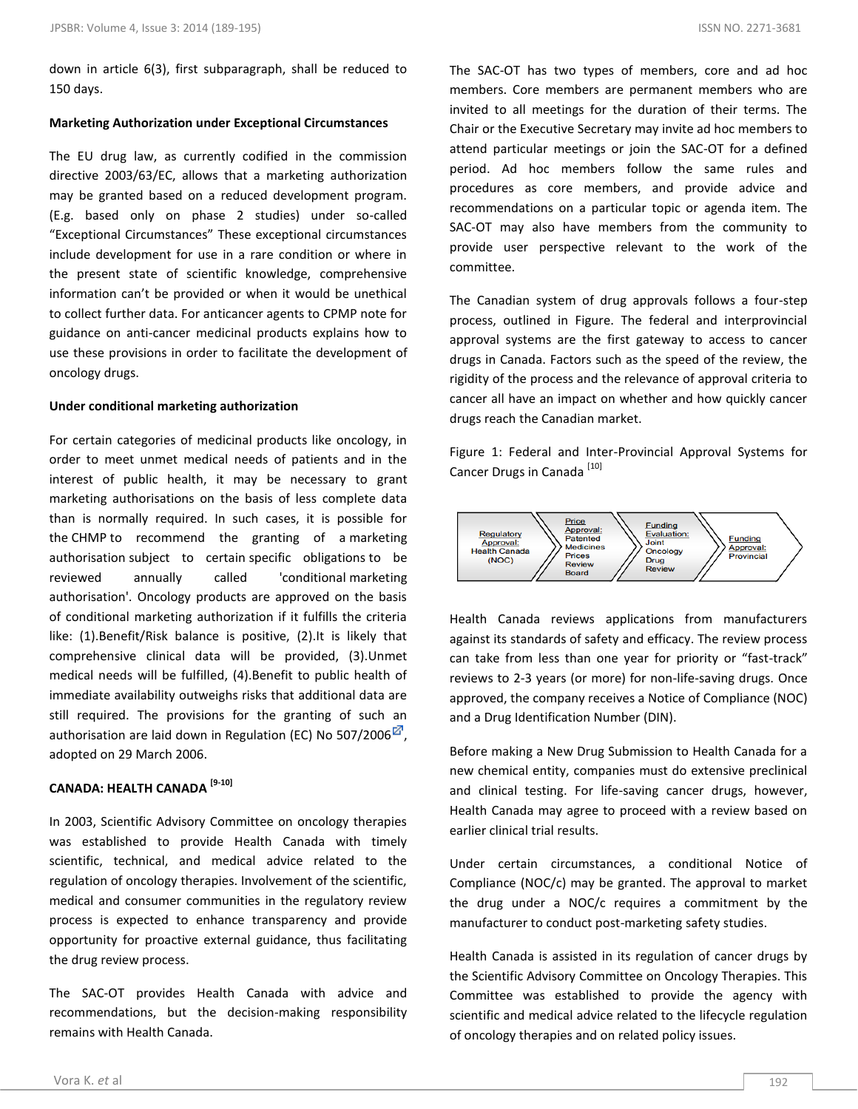down in article 6(3), first subparagraph, shall be reduced to 150 days.

#### **Marketing Authorization under Exceptional Circumstances**

The EU drug law, as currently codified in the commission directive 2003/63/EC, allows that a marketing authorization may be granted based on a reduced development program. (E.g. based only on phase 2 studies) under so-called "Exceptional Circumstances" These exceptional circumstances include development for use in a rare condition or where in the present state of scientific knowledge, comprehensive information can't be provided or when it would be unethical to collect further data. For anticancer agents to CPMP note for guidance on anti-cancer medicinal products explains how to use these provisions in order to facilitate the development of oncology drugs.

#### **Under conditional marketing authorization**

For certain categories of medicinal products like oncology, in order to meet unmet medical needs of patients and in the interest of public health, it may be necessary to grant marketing authorisations on the basis of less complete data than is normally required. In such cases, it is possible for the CHMP to recommend the granting of a marketing authorisation subject to certain specific obligations to be reviewed annually called 'conditional marketing authorisation'. Oncology products are approved on the basis of conditional marketing authorization if it fulfills the criteria like: (1).Benefit/Risk balance is positive, (2).It is likely that comprehensive clinical data will be provided, (3).Unmet medical needs will be fulfilled, (4).Benefit to public health of immediate availability outweighs risks that additional data are still required. The provisions for the granting of such an authorisation are laid down in Regulation (EC) No 507/2006 $^{\boxtimes}$ , adopted on 29 March 2006.

## **CANADA: HEALTH CANADA [9-10]**

In 2003, Scientific Advisory Committee on oncology therapies was established to provide Health Canada with timely scientific, technical, and medical advice related to the regulation of oncology therapies. Involvement of the scientific, medical and consumer communities in the regulatory review process is expected to enhance transparency and provide opportunity for proactive external guidance, thus facilitating the drug review process.

The SAC-OT provides Health Canada with advice and recommendations, but the decision-making responsibility remains with Health Canada.

The SAC-OT has two types of members, core and ad hoc members. Core members are permanent members who are invited to all meetings for the duration of their terms. The Chair or the Executive Secretary may invite ad hoc members to attend particular meetings or join the SAC-OT for a defined period. Ad hoc members follow the same rules and procedures as core members, and provide advice and recommendations on a particular topic or agenda item. The SAC-OT may also have members from the community to provide user perspective relevant to the work of the committee.

The Canadian system of drug approvals follows a four-step process, outlined in Figure. The federal and interprovincial approval systems are the first gateway to access to cancer drugs in Canada. Factors such as the speed of the review, the rigidity of the process and the relevance of approval criteria to cancer all have an impact on whether and how quickly cancer drugs reach the Canadian market.

Figure 1: Federal and Inter-Provincial Approval Systems for Cancer Drugs in Canada<sup>[10]</sup>



Health Canada reviews applications from manufacturers against its standards of safety and efficacy. The review process can take from less than one year for priority or "fast-track" reviews to 2-3 years (or more) for non-life-saving drugs. Once approved, the company receives a Notice of Compliance (NOC) and a Drug Identification Number (DIN).

Before making a New Drug Submission to Health Canada for a new chemical entity, companies must do extensive preclinical and clinical testing. For life-saving cancer drugs, however, Health Canada may agree to proceed with a review based on earlier clinical trial results.

Under certain circumstances, a conditional Notice of Compliance (NOC/c) may be granted. The approval to market the drug under a NOC/c requires a commitment by the manufacturer to conduct post-marketing safety studies.

Health Canada is assisted in its regulation of cancer drugs by the Scientific Advisory Committee on Oncology Therapies. This Committee was established to provide the agency with scientific and medical advice related to the lifecycle regulation of oncology therapies and on related policy issues.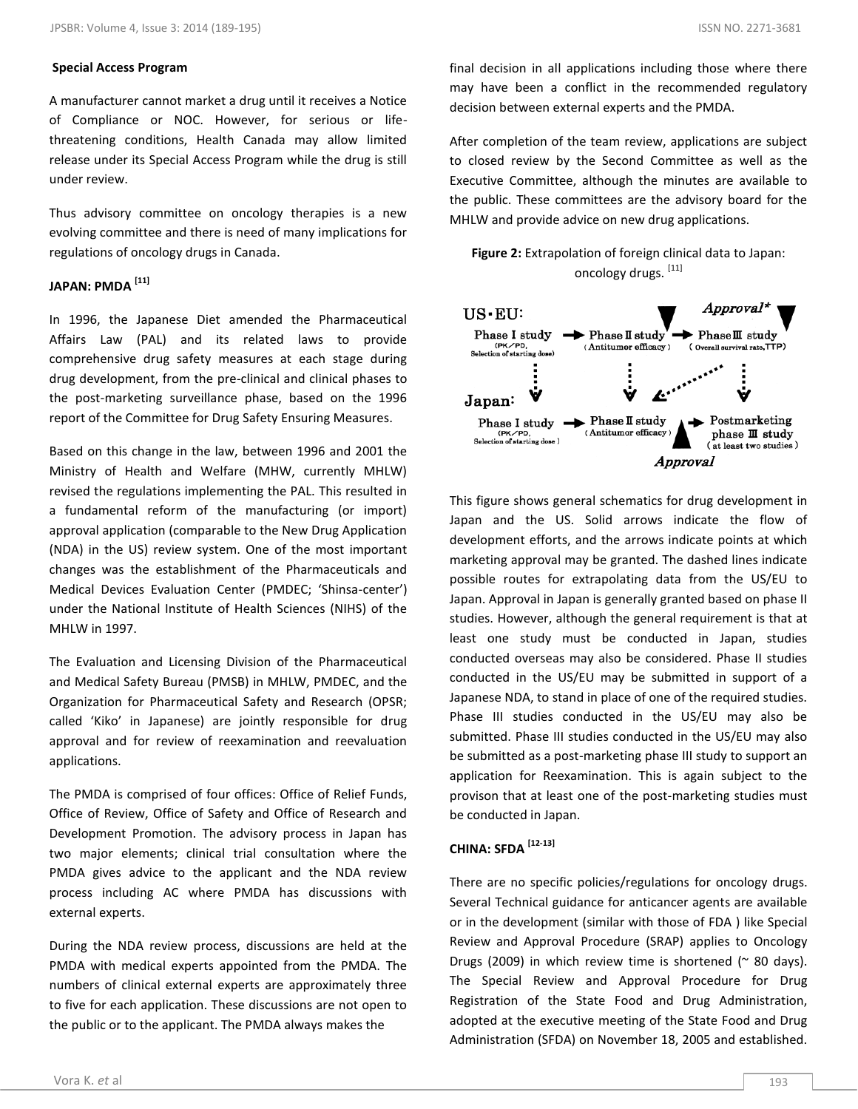## **Special Access Program**

A manufacturer cannot market a drug until it receives a Notice of Compliance or NOC. However, for serious or lifethreatening conditions, Health Canada may allow limited release under its Special Access Program while the drug is still under review.

Thus advisory committee on oncology therapies is a new evolving committee and there is need of many implications for regulations of oncology drugs in Canada.

## **JAPAN: PMDA [11]**

In 1996, the Japanese Diet amended the Pharmaceutical Affairs Law (PAL) and its related laws to provide comprehensive drug safety measures at each stage during drug development, from the pre-clinical and clinical phases to the post-marketing surveillance phase, based on the 1996 report of the Committee for Drug Safety Ensuring Measures.

Based on this change in the law, between 1996 and 2001 the Ministry of Health and Welfare (MHW, currently MHLW) revised the regulations implementing the PAL. This resulted in a fundamental reform of the manufacturing (or import) approval application (comparable to the New Drug Application (NDA) in the US) review system. One of the most important changes was the establishment of the Pharmaceuticals and Medical Devices Evaluation Center (PMDEC; 'Shinsa-center') under the National Institute of Health Sciences (NIHS) of the MHLW in 1997.

The Evaluation and Licensing Division of the Pharmaceutical and Medical Safety Bureau (PMSB) in MHLW, PMDEC, and the Organization for Pharmaceutical Safety and Research (OPSR; called 'Kiko' in Japanese) are jointly responsible for drug approval and for review of reexamination and reevaluation applications.

The PMDA is comprised of four offices: Office of Relief Funds, Office of Review, Office of Safety and Office of Research and Development Promotion. The advisory process in Japan has two major elements; clinical trial consultation where the PMDA gives advice to the applicant and the NDA review process including AC where PMDA has discussions with external experts.

During the NDA review process, discussions are held at the PMDA with medical experts appointed from the PMDA. The numbers of clinical external experts are approximately three to five for each application. These discussions are not open to the public or to the applicant. The PMDA always makes the

final decision in all applications including those where there may have been a conflict in the recommended regulatory decision between external experts and the PMDA.

After completion of the team review, applications are subject to closed review by the Second Committee as well as the Executive Committee, although the minutes are available to the public. These committees are the advisory board for the MHLW and provide advice on new drug applications.





This figure shows general schematics for drug development in Japan and the US. Solid arrows indicate the flow of development efforts, and the arrows indicate points at which marketing approval may be granted. The dashed lines indicate possible routes for extrapolating data from the US/EU to Japan. Approval in Japan is generally granted based on phase II studies. However, although the general requirement is that at least one study must be conducted in Japan, studies conducted overseas may also be considered. Phase II studies conducted in the US/EU may be submitted in support of a Japanese NDA, to stand in place of one of the required studies. Phase III studies conducted in the US/EU may also be submitted. Phase III studies conducted in the US/EU may also be submitted as a post-marketing phase III study to support an application for Reexamination. This is again subject to the provison that at least one of the post-marketing studies must be conducted in Japan.

## **CHINA: SFDA [12-13]**

There are no specific policies/regulations for oncology drugs. Several Technical guidance for anticancer agents are available or in the development (similar with those of FDA ) like Special Review and Approval Procedure (SRAP) applies to Oncology Drugs (2009) in which review time is shortened ( $\sim$  80 days). The Special Review and Approval Procedure for Drug Registration of the State Food and Drug Administration, adopted at the executive meeting of the State Food and Drug Administration (SFDA) on November 18, 2005 and established.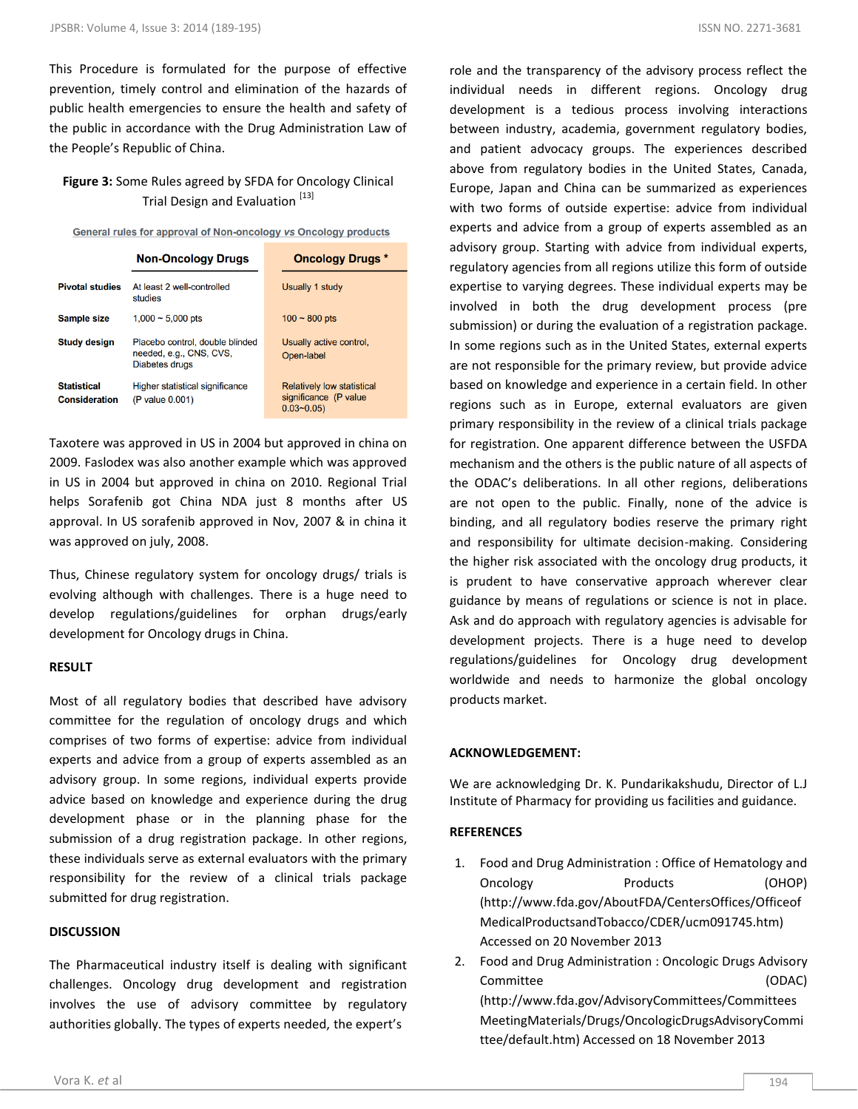This Procedure is formulated for the purpose of effective prevention, timely control and elimination of the hazards of public health emergencies to ensure the health and safety of the public in accordance with the Drug Administration Law of the People's Republic of China.

## **Figure 3:** Some Rules agreed by SFDA for Oncology Clinical Trial Design and Evaluation<sup>[13]</sup>

**General rules for approval of Non-oncology vs Oncology products** 

|                                            | <b>Non-Oncology Drugs</b>                                                    | <b>Oncology Drugs *</b>                                                         |
|--------------------------------------------|------------------------------------------------------------------------------|---------------------------------------------------------------------------------|
| <b>Pivotal studies</b>                     | At least 2 well-controlled<br>studies                                        | Usually 1 study                                                                 |
| <b>Sample size</b>                         | $1,000 \sim 5,000$ pts                                                       | $100 - 800$ pts                                                                 |
| <b>Study design</b>                        | Placebo control, double blinded<br>needed, e.g., CNS, CVS,<br>Diabetes drugs | Usually active control.<br>Open-label                                           |
| <b>Statistical</b><br><b>Consideration</b> | <b>Higher statistical significance</b><br>(P value 0.001)                    | <b>Relatively low statistical</b><br>significance (P value<br><u>በ በ3~በ በ5ነ</u> |

Taxotere was approved in US in 2004 but approved in china on 2009. Faslodex was also another example which was approved in US in 2004 but approved in china on 2010. Regional Trial helps Sorafenib got China NDA just 8 months after US approval. In US sorafenib approved in Nov, 2007 & in china it was approved on july, 2008.

Thus, Chinese regulatory system for oncology drugs/ trials is evolving although with challenges. There is a huge need to develop regulations/guidelines for orphan drugs/early development for Oncology drugs in China.

## **RESULT**

Most of all regulatory bodies that described have advisory committee for the regulation of oncology drugs and which comprises of two forms of expertise: advice from individual experts and advice from a group of experts assembled as an advisory group. In some regions, individual experts provide advice based on knowledge and experience during the drug development phase or in the planning phase for the submission of a drug registration package. In other regions, these individuals serve as external evaluators with the primary responsibility for the review of a clinical trials package submitted for drug registration.

## **DISCUSSION**

The Pharmaceutical industry itself is dealing with significant challenges. Oncology drug development and registration involves the use of advisory committee by regulatory authorities globally. The types of experts needed, the expert's

role and the transparency of the advisory process reflect the individual needs in different regions. Oncology drug development is a tedious process involving interactions between industry, academia, government regulatory bodies, and patient advocacy groups. The experiences described above from regulatory bodies in the United States, Canada, Europe, Japan and China can be summarized as experiences with two forms of outside expertise: advice from individual experts and advice from a group of experts assembled as an advisory group. Starting with advice from individual experts, regulatory agencies from all regions utilize this form of outside expertise to varying degrees. These individual experts may be involved in both the drug development process (pre submission) or during the evaluation of a registration package. In some regions such as in the United States, external experts are not responsible for the primary review, but provide advice based on knowledge and experience in a certain field. In other regions such as in Europe, external evaluators are given primary responsibility in the review of a clinical trials package for registration. One apparent difference between the USFDA mechanism and the others is the public nature of all aspects of the ODAC's deliberations. In all other regions, deliberations are not open to the public. Finally, none of the advice is binding, and all regulatory bodies reserve the primary right and responsibility for ultimate decision-making. Considering the higher risk associated with the oncology drug products, it is prudent to have conservative approach wherever clear guidance by means of regulations or science is not in place. Ask and do approach with regulatory agencies is advisable for development projects. There is a huge need to develop regulations/guidelines for Oncology drug development worldwide and needs to harmonize the global oncology products market.

## **ACKNOWLEDGEMENT:**

We are acknowledging Dr. K. Pundarikakshudu, Director of L.J Institute of Pharmacy for providing us facilities and guidance.

## **REFERENCES**

- 1. Food and Drug Administration : Office of Hematology and Oncology Products (OHOP) (http://www.fda.gov/AboutFDA/CentersOffices/Officeof MedicalProductsandTobacco/CDER/ucm091745.htm) Accessed on 20 November 2013
- 2. Food and Drug Administration : Oncologic Drugs Advisory Committee (ODAC) (http://www.fda.gov/AdvisoryCommittees/Committees MeetingMaterials/Drugs/OncologicDrugsAdvisoryCommi ttee/default.htm) Accessed on 18 November 2013